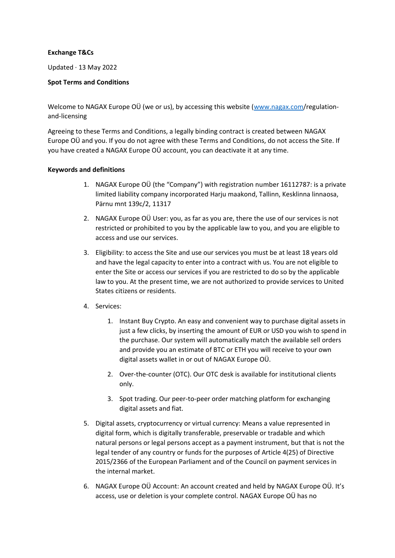### **Exchange T&Cs**

Updated · 13 May 2022

## **Spot Terms and Conditions**

Welcome to NAGAX Europe OÜ (we or us), by accessing this website [\(www.nagax.com/](http://www.nagax.com/)regulationand-licensing

Agreeing to these Terms and Conditions, a legally binding contract is created between NAGAX Europe OÜ and you. If you do not agree with these Terms and Conditions, do not access the Site. If you have created a NAGAX Europe OÜ account, you can deactivate it at any time.

## **Keywords and definitions**

- 1. NAGAX Europe OÜ (the "Company") with registration number 16112787: is a private limited liability company incorporated Harju maakond, Tallinn, Kesklinna linnaosa, Pärnu mnt 139c/2, 11317
- 2. NAGAX Europe OÜ User: you, as far as you are, there the use of our services is not restricted or prohibited to you by the applicable law to you, and you are eligible to access and use our services.
- 3. Eligibility: to access the Site and use our services you must be at least 18 years old and have the legal capacity to enter into a contract with us. You are not eligible to enter the Site or access our services if you are restricted to do so by the applicable law to you. At the present time, we are not authorized to provide services to United States citizens or residents.
- 4. Services:
	- 1. Instant Buy Crypto. An easy and convenient way to purchase digital assets in just a few clicks, by inserting the amount of EUR or USD you wish to spend in the purchase. Our system will automatically match the available sell orders and provide you an estimate of BTC or ETH you will receive to your own digital assets wallet in or out of NAGAX Europe OÜ.
	- 2. Over-the-counter (OTC). Our OTC desk is available for institutional clients only.
	- 3. Spot trading. Our peer-to-peer order matching platform for exchanging digital assets and fiat.
- 5. Digital assets, cryptocurrency or virtual currency: Means a value represented in digital form, which is digitally transferable, preservable or tradable and which natural persons or legal persons accept as a payment instrument, but that is not the legal tender of any country or funds for the purposes of Article 4(25) of Directive 2015/2366 of the European Parliament and of the Council on payment services in the internal market.
- 6. NAGAX Europe OÜ Account: An account created and held by NAGAX Europe OÜ. It's access, use or deletion is your complete control. NAGAX Europe OÜ has no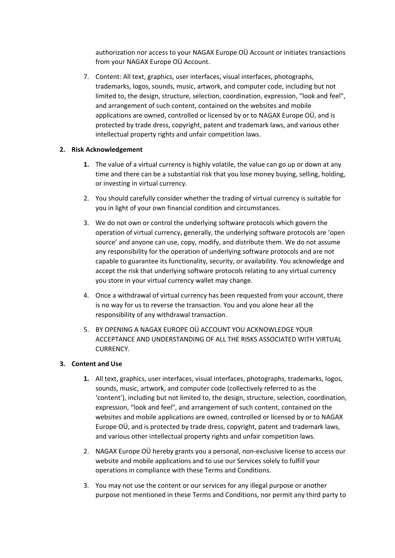authorization nor access to your NAGAX Europe OÜ Account or initiates transactions from your NAGAX Europe OÜ Account.

7. Content: All text, graphics, user interfaces, visual interfaces, photographs, trademarks, logos, sounds, music, artwork, and computer code, including but not limited to, the design, structure, selection, coordination, expression, "look and feel", and arrangement of such content, contained on the websites and mobile applications are owned, controlled or licensed by or to NAGAX Europe OÜ, and is protected by trade dress, copyright, patent and trademark laws, and various other intellectual property rights and unfair competition laws.

## **2. Risk Acknowledgement**

- **1.** The value of a virtual currency is highly volatile, the value can go up or down at any time and there can be a substantial risk that you lose money buying, selling, holding, or investing in virtual currency.
- 2. You should carefully consider whether the trading of virtual currency is suitable for you in light of your own financial condition and circumstances.
- 3. We do not own or control the underlying software protocols which govern the operation of virtual currency, generally, the underlying software protocols are 'open source' and anyone can use, copy, modify, and distribute them. We do not assume any responsibility for the operation of underlying software protocols and are not capable to guarantee its functionality, security, or availability. You acknowledge and accept the risk that underlying software protocols relating to any virtual currency you store in your virtual currency wallet may change.
- 4. Once a withdrawal of virtual currency has been requested from your account, there is no way for us to reverse the transaction. You and you alone hear all the responsibility of any withdrawal transaction.
- 5. BY OPENING A NAGAX EUROPE OÜ ACCOUNT YOU ACKNOWLEDGE YOUR ACCEPTANCE AND UNDERSTANDING OF ALL THE RISKS ASSOCIATED WITH VIRTUAL CURRENCY.

# **3. Content and Use**

- **1.** All text, graphics, user interfaces, visual interfaces, photographs, trademarks, logos, sounds, music, artwork, and computer code (collectively referred to as the 'content'), including but not limited to, the design, structure, selection, coordination, expression, "look and feel", and arrangement of such content, contained on the websites and mobile applications are owned, controlled or licensed by or to NAGAX Europe OÜ, and is protected by trade dress, copyright, patent and trademark laws, and various other intellectual property rights and unfair competition laws.
- 2. NAGAX Europe OÜ hereby grants you a personal, non-exclusive license to access our website and mobile applications and to use our Services solely to fulfill your operations in compliance with these Terms and Conditions.
- 3. You may not use the content or our services for any illegal purpose or another purpose not mentioned in these Terms and Conditions, nor permit any third party to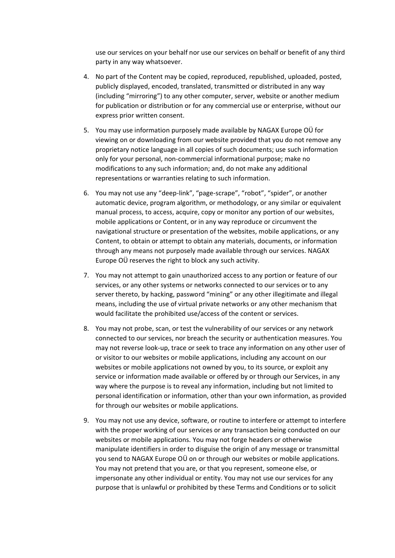use our services on your behalf nor use our services on behalf or benefit of any third party in any way whatsoever.

- 4. No part of the Content may be copied, reproduced, republished, uploaded, posted, publicly displayed, encoded, translated, transmitted or distributed in any way (including "mirroring") to any other computer, server, website or another medium for publication or distribution or for any commercial use or enterprise, without our express prior written consent.
- 5. You may use information purposely made available by NAGAX Europe OÜ for viewing on or downloading from our website provided that you do not remove any proprietary notice language in all copies of such documents; use such information only for your personal, non-commercial informational purpose; make no modifications to any such information; and, do not make any additional representations or warranties relating to such information.
- 6. You may not use any "deep-link", "page-scrape", "robot", "spider", or another automatic device, program algorithm, or methodology, or any similar or equivalent manual process, to access, acquire, copy or monitor any portion of our websites, mobile applications or Content, or in any way reproduce or circumvent the navigational structure or presentation of the websites, mobile applications, or any Content, to obtain or attempt to obtain any materials, documents, or information through any means not purposely made available through our services. NAGAX Europe OÜ reserves the right to block any such activity.
- 7. You may not attempt to gain unauthorized access to any portion or feature of our services, or any other systems or networks connected to our services or to any server thereto, by hacking, password "mining" or any other illegitimate and illegal means, including the use of virtual private networks or any other mechanism that would facilitate the prohibited use/access of the content or services.
- 8. You may not probe, scan, or test the vulnerability of our services or any network connected to our services, nor breach the security or authentication measures. You may not reverse look-up, trace or seek to trace any information on any other user of or visitor to our websites or mobile applications, including any account on our websites or mobile applications not owned by you, to its source, or exploit any service or information made available or offered by or through our Services, in any way where the purpose is to reveal any information, including but not limited to personal identification or information, other than your own information, as provided for through our websites or mobile applications.
- 9. You may not use any device, software, or routine to interfere or attempt to interfere with the proper working of our services or any transaction being conducted on our websites or mobile applications. You may not forge headers or otherwise manipulate identifiers in order to disguise the origin of any message or transmittal you send to NAGAX Europe OÜ on or through our websites or mobile applications. You may not pretend that you are, or that you represent, someone else, or impersonate any other individual or entity. You may not use our services for any purpose that is unlawful or prohibited by these Terms and Conditions or to solicit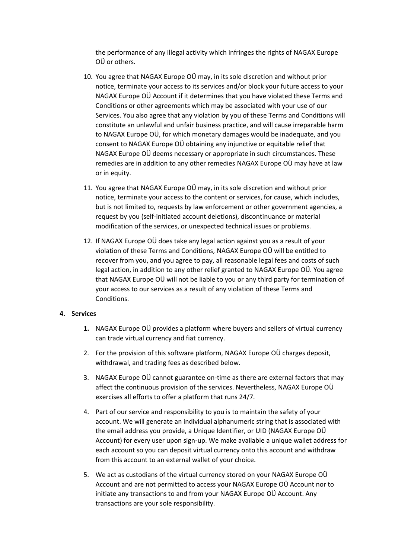the performance of any illegal activity which infringes the rights of NAGAX Europe OÜ or others.

- 10. You agree that NAGAX Europe OÜ may, in its sole discretion and without prior notice, terminate your access to its services and/or block your future access to your NAGAX Europe OÜ Account if it determines that you have violated these Terms and Conditions or other agreements which may be associated with your use of our Services. You also agree that any violation by you of these Terms and Conditions will constitute an unlawful and unfair business practice, and will cause irreparable harm to NAGAX Europe OÜ, for which monetary damages would be inadequate, and you consent to NAGAX Europe OÜ obtaining any injunctive or equitable relief that NAGAX Europe OÜ deems necessary or appropriate in such circumstances. These remedies are in addition to any other remedies NAGAX Europe OÜ may have at law or in equity.
- 11. You agree that NAGAX Europe OÜ may, in its sole discretion and without prior notice, terminate your access to the content or services, for cause, which includes, but is not limited to, requests by law enforcement or other government agencies, a request by you (self-initiated account deletions), discontinuance or material modification of the services, or unexpected technical issues or problems.
- 12. If NAGAX Europe OÜ does take any legal action against you as a result of your violation of these Terms and Conditions, NAGAX Europe OÜ will be entitled to recover from you, and you agree to pay, all reasonable legal fees and costs of such legal action, in addition to any other relief granted to NAGAX Europe OÜ. You agree that NAGAX Europe OÜ will not be liable to you or any third party for termination of your access to our services as a result of any violation of these Terms and Conditions.

#### **4. Services**

- **1.** NAGAX Europe OÜ provides a platform where buyers and sellers of virtual currency can trade virtual currency and fiat currency.
- 2. For the provision of this software platform, NAGAX Europe OÜ charges deposit, withdrawal, and trading fees as described below.
- 3. NAGAX Europe OÜ cannot guarantee on-time as there are external factors that may affect the continuous provision of the services. Nevertheless, NAGAX Europe OÜ exercises all efforts to offer a platform that runs 24/7.
- 4. Part of our service and responsibility to you is to maintain the safety of your account. We will generate an individual alphanumeric string that is associated with the email address you provide, a Unique Identifier, or UID (NAGAX Europe OÜ Account) for every user upon sign-up. We make available a unique wallet address for each account so you can deposit virtual currency onto this account and withdraw from this account to an external wallet of your choice.
- 5. We act as custodians of the virtual currency stored on your NAGAX Europe OÜ Account and are not permitted to access your NAGAX Europe OÜ Account nor to initiate any transactions to and from your NAGAX Europe OÜ Account. Any transactions are your sole responsibility.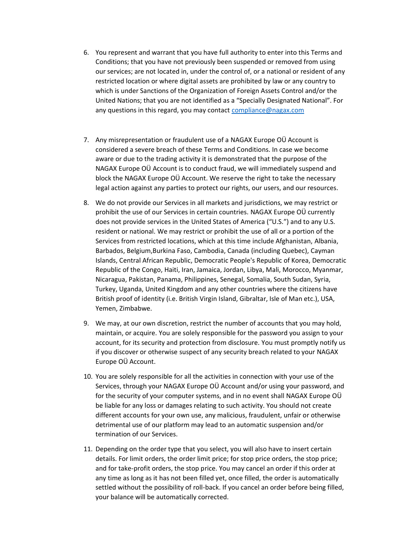- 6. You represent and warrant that you have full authority to enter into this Terms and Conditions; that you have not previously been suspended or removed from using our services; are not located in, under the control of, or a national or resident of any restricted location or where digital assets are prohibited by law or any country to which is under Sanctions of the Organization of Foreign Assets Control and/or the United Nations; that you are not identified as a "Specially Designated National". For any questions in this regard, you may contact [compliance@nagax.com](mailto:compliance@nagax.com)
- 7. Any misrepresentation or fraudulent use of a NAGAX Europe OÜ Account is considered a severe breach of these Terms and Conditions. In case we become aware or due to the trading activity it is demonstrated that the purpose of the NAGAX Europe OÜ Account is to conduct fraud, we will immediately suspend and block the NAGAX Europe OÜ Account. We reserve the right to take the necessary legal action against any parties to protect our rights, our users, and our resources.
- 8. We do not provide our Services in all markets and jurisdictions, we may restrict or prohibit the use of our Services in certain countries. NAGAX Europe OÜ currently does not provide services in the United States of America ("U.S.") and to any U.S. resident or national. We may restrict or prohibit the use of all or a portion of the Services from restricted locations, which at this time include Afghanistan, Albania, Barbados, Belgium,Burkina Faso, Cambodia, Canada (including Quebec), Cayman Islands, Central African Republic, Democratic People's Republic of Korea, Democratic Republic of the Congo, Haiti, Iran, Jamaica, Jordan, Libya, Mali, Morocco, Myanmar, Nicaragua, Pakistan, Panama, Philippines, Senegal, Somalia, South Sudan, Syria, Turkey, Uganda, United Kingdom and any other countries where the citizens have British proof of identity (i.e. British Virgin Island, Gibraltar, Isle of Man etc.), USA, Yemen, Zimbabwe.
- 9. We may, at our own discretion, restrict the number of accounts that you may hold, maintain, or acquire. You are solely responsible for the password you assign to your account, for its security and protection from disclosure. You must promptly notify us if you discover or otherwise suspect of any security breach related to your NAGAX Europe OÜ Account.
- 10. You are solely responsible for all the activities in connection with your use of the Services, through your NAGAX Europe OÜ Account and/or using your password, and for the security of your computer systems, and in no event shall NAGAX Europe OÜ be liable for any loss or damages relating to such activity. You should not create different accounts for your own use, any malicious, fraudulent, unfair or otherwise detrimental use of our platform may lead to an automatic suspension and/or termination of our Services.
- 11. Depending on the order type that you select, you will also have to insert certain details. For limit orders, the order limit price; for stop price orders, the stop price; and for take-profit orders, the stop price. You may cancel an order if this order at any time as long as it has not been filled yet, once filled, the order is automatically settled without the possibility of roll-back. If you cancel an order before being filled, your balance will be automatically corrected.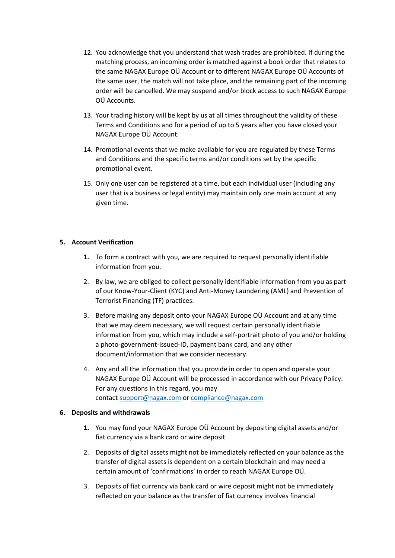- 12. You acknowledge that you understand that wash trades are prohibited. If during the matching process, an incoming order is matched against a book order that relates to the same NAGAX Europe OÜ Account or to different NAGAX Europe OÜ Accounts of the same user, the match will not take place, and the remaining part of the incoming order will be cancelled. We may suspend and/or block access to such NAGAX Europe OÜ Accounts.
- 13. Your trading history will be kept by us at all times throughout the validity of these Terms and Conditions and for a period of up to 5 years after you have closed your NAGAX Europe OÜ Account.
- 14. Promotional events that we make available for you are regulated by these Terms and Conditions and the specific terms and/or conditions set by the specific promotional event.
- 15. Only one user can be registered at a time, but each individual user (including any user that is a business or legal entity) may maintain only one main account at any given time.

# **5. Account Verification**

- **1.** To form a contract with you, we are required to request personally identifiable information from you.
- 2. By law, we are obliged to collect personally identifiable information from you as part of our Know-Your-Client (KYC) and Anti-Money Laundering (AML) and Prevention of Terrorist Financing (TF) practices.
- 3. Before making any deposit onto your NAGAX Europe OÜ Account and at any time that we may deem necessary, we will request certain personally identifiable information from you, which may include a self-portrait photo of you and/or holding a photo-government-issued-ID, payment bank card, and any other document/information that we consider necessary.
- 4. Any and all the information that you provide in order to open and operate your NAGAX Europe OÜ Account will be processed in accordance with our Privacy Policy. For any questions in this regard, you may contact [support@nagax.com](mailto:support@nagax.com) or [compliance@nagax.com](mailto:compliance@nagax.com)

### **6. Deposits and withdrawals**

- **1.** You may fund your NAGAX Europe OÜ Account by depositing digital assets and/or fiat currency via a bank card or wire deposit.
- 2. Deposits of digital assets might not be immediately reflected on your balance as the transfer of digital assets is dependent on a certain blockchain and may need a certain amount of 'confirmations' in order to reach NAGAX Europe OÜ.
- 3. Deposits of fiat currency via bank card or wire deposit might not be immediately reflected on your balance as the transfer of fiat currency involves financial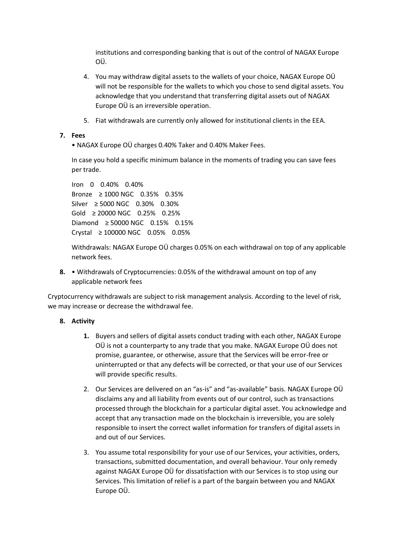institutions and corresponding banking that is out of the control of NAGAX Europe OÜ.

- 4. You may withdraw digital assets to the wallets of your choice, NAGAX Europe OÜ will not be responsible for the wallets to which you chose to send digital assets. You acknowledge that you understand that transferring digital assets out of NAGAX Europe OÜ is an irreversible operation.
- 5. Fiat withdrawals are currently only allowed for institutional clients in the EEA.

## **7. Fees**

• NAGAX Europe OÜ charges 0.40% Taker and 0.40% Maker Fees.

In case you hold a specific minimum balance in the moments of trading you can save fees per trade.

```
Iron 0 0.40% 0.40%
Bronze ≥ 1000 NGC 0.35% 0.35%
Silver ≥ 5000 NGC 0.30% 0.30%
Gold ≥ 20000 NGC 0.25% 0.25%
Diamond ≥ 50000 NGC 0.15% 0.15%
Crystal ≥ 100000 NGC 0.05% 0.05%
```
Withdrawals: NAGAX Europe OÜ charges 0.05% on each withdrawal on top of any applicable network fees.

**8.** • Withdrawals of Cryptocurrencies: 0.05% of the withdrawal amount on top of any applicable network fees

Cryptocurrency withdrawals are subject to risk management analysis. According to the level of risk, we may increase or decrease the withdrawal fee.

### **8. Activity**

- **1.** Buyers and sellers of digital assets conduct trading with each other, NAGAX Europe OÜ is not a counterparty to any trade that you make. NAGAX Europe OÜ does not promise, guarantee, or otherwise, assure that the Services will be error-free or uninterrupted or that any defects will be corrected, or that your use of our Services will provide specific results.
- 2. Our Services are delivered on an "as-is" and "as-available" basis. NAGAX Europe OÜ disclaims any and all liability from events out of our control, such as transactions processed through the blockchain for a particular digital asset. You acknowledge and accept that any transaction made on the blockchain is irreversible, you are solely responsible to insert the correct wallet information for transfers of digital assets in and out of our Services.
- 3. You assume total responsibility for your use of our Services, your activities, orders, transactions, submitted documentation, and overall behaviour. Your only remedy against NAGAX Europe OÜ for dissatisfaction with our Services is to stop using our Services. This limitation of relief is a part of the bargain between you and NAGAX Europe OÜ.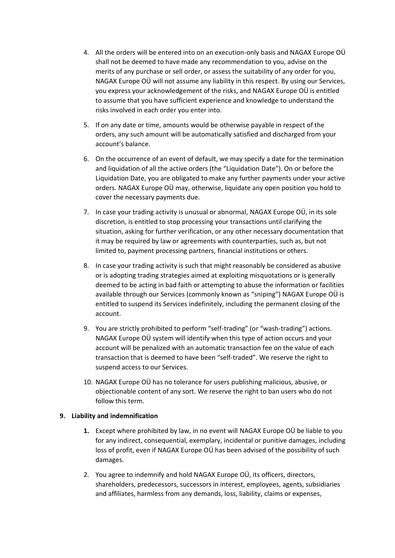- 4. All the orders will be entered into on an execution-only basis and NAGAX Europe OÜ shall not be deemed to have made any recommendation to you, advise on the merits of any purchase or sell order, or assess the suitability of any order for you, NAGAX Europe OÜ will not assume any liability in this respect. By using our Services, you express your acknowledgement of the risks, and NAGAX Europe OÜ is entitled to assume that you have sufficient experience and knowledge to understand the risks involved in each order you enter into.
- 5. If on any date or time, amounts would be otherwise payable in respect of the orders, any such amount will be automatically satisfied and discharged from your account's balance.
- 6. On the occurrence of an event of default, we may specify a date for the termination and liquidation of all the active orders (the "Liquidation Date"). On or before the Liquidation Date, you are obligated to make any further payments under your active orders. NAGAX Europe OÜ may, otherwise, liquidate any open position you hold to cover the necessary payments due.
- 7. In case your trading activity is unusual or abnormal, NAGAX Europe OÜ, in its sole discretion, is entitled to stop processing your transactions until clarifying the situation, asking for further verification, or any other necessary documentation that it may be required by law or agreements with counterparties, such as, but not limited to, payment processing partners, financial institutions or others.
- 8. In case your trading activity is such that might reasonably be considered as abusive or is adopting trading strategies aimed at exploiting misquotations or is generally deemed to be acting in bad faith or attempting to abuse the information or facilities available through our Services (commonly known as "sniping") NAGAX Europe OÜ is entitled to suspend its Services indefinitely, including the permanent closing of the account.
- 9. You are strictly prohibited to perform "self-trading" (or "wash-trading") actions. NAGAX Europe OÜ system will identify when this type of action occurs and your account will be penalized with an automatic transaction fee on the value of each transaction that is deemed to have been "self-traded". We reserve the right to suspend access to our Services.
- 10. NAGAX Europe OÜ has no tolerance for users publishing malicious, abusive, or objectionable content of any sort. We reserve the right to ban users who do not follow this term.

### **9. Liability and indemnification**

- **1.** Except where prohibited by law, in no event will NAGAX Europe OÜ be liable to you for any indirect, consequential, exemplary, incidental or punitive damages, including loss of profit, even if NAGAX Europe OÜ has been advised of the possibility of such damages.
- 2. You agree to indemnify and hold NAGAX Europe OÜ, its officers, directors, shareholders, predecessors, successors in interest, employees, agents, subsidiaries and affiliates, harmless from any demands, loss, liability, claims or expenses,